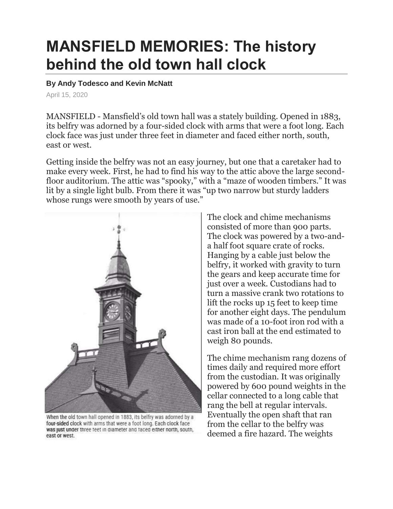## **MANSFIELD MEMORIES: The history behind the old town hall clock**

**By Andy Todesco and Kevin McNatt** 

April 15, 2020

MANSFIELD - Mansfield's old town hall was a stately building. Opened in 1883, its belfry was adorned by a four-sided clock with arms that were a foot long. Each clock face was just under three feet in diameter and faced either north, south, east or west.

Getting inside the belfry was not an easy journey, but one that a caretaker had to make every week. First, he had to find his way to the attic above the large secondfloor auditorium. The attic was "spooky," with a "maze of wooden timbers." It was lit by a single light bulb. From there it was "up two narrow but sturdy ladders whose rungs were smooth by years of use."



When the old town hall opened in 1883, its belfry was adorned by a four-sided clock with arms that were a foot long. Each clock face was just under three feet in diameter and faced either north, south, east or west.

The clock and chime mechanisms consisted of more than 900 parts. The clock was powered by a two-anda half foot square crate of rocks. Hanging by a cable just below the belfry, it worked with gravity to turn the gears and keep accurate time for just over a week. Custodians had to turn a massive crank two rotations to lift the rocks up 15 feet to keep time for another eight days. The pendulum was made of a 10-foot iron rod with a cast iron ball at the end estimated to weigh 80 pounds.

The chime mechanism rang dozens of times daily and required more effort from the custodian. It was originally powered by 600 pound weights in the cellar connected to a long cable that rang the bell at regular intervals. Eventually the open shaft that ran from the cellar to the belfry was deemed a fire hazard. The weights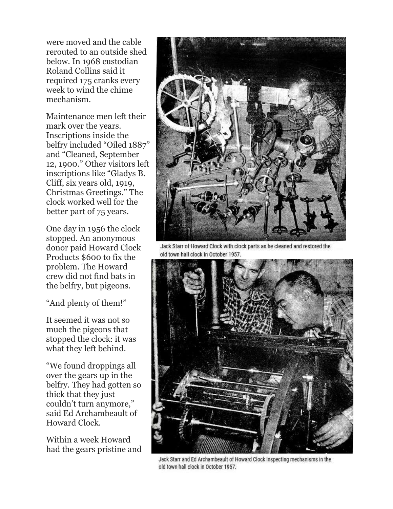were moved and the cable rerouted to an outside shed below. In 1968 custodian Roland Collins said it required 175 cranks every week to wind the chime mechanism.

Maintenance men left their mark over the years. Inscriptions inside the belfry included "Oiled 1887" and "Cleaned, September 12, 1900." Other visitors left inscriptions like "Gladys B. Cliff, six years old, 1919, Christmas Greetings." The clock worked well for the better part of 75 years.

One day in 1956 the clock stopped. An anonymous donor paid Howard Clock Products \$600 to fix the problem. The Howard crew did not find bats in the belfry, but pigeons.

"And plenty of them!"

It seemed it was not so much the pigeons that stopped the clock: it was what they left behind.

"We found droppings all over the gears up in the belfry. They had gotten so thick that they just couldn't turn anymore," said Ed Archambeault of Howard Clock.

Within a week Howard had the gears pristine and



Jack Starr of Howard Clock with clock parts as he cleaned and restored the old town hall clock in October 1957.



Jack Starr and Ed Archambeault of Howard Clock inspecting mechanisms in the old town hall clock in October 1957.